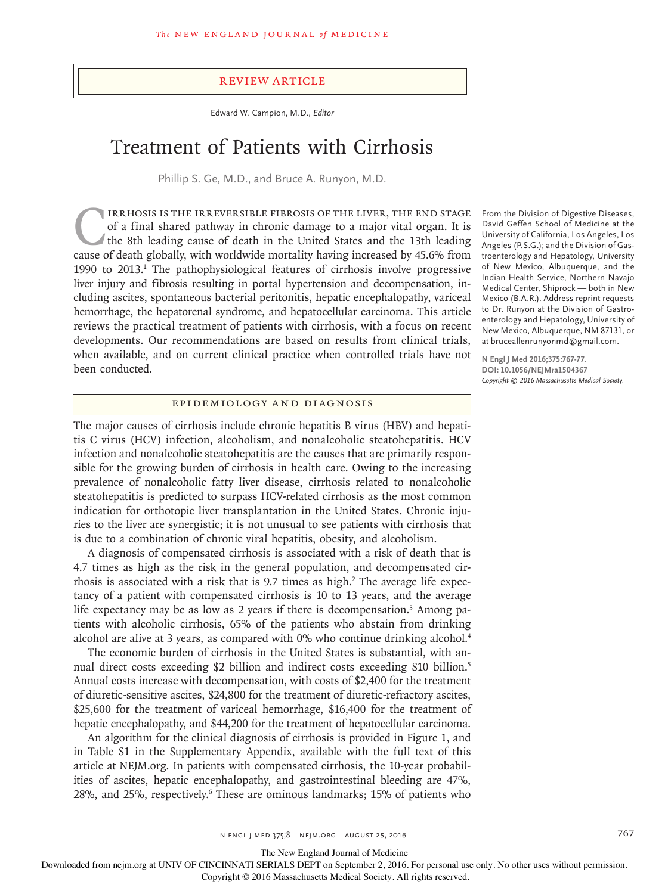#### Review Article

Edward W. Campion, M.D., *Editor*

# Treatment of Patients with Cirrhosis

Phillip S. Ge, M.D., and Bruce A. Runyon, M.D.

IRRHOSIS IS THE IRREVERSIBLE FIBROSIS OF THE LIVER, THE END STAGE of a final shared pathway in chronic damage to a major vital organ. It is the 8th leading cause of death in the United States and the 13th leading cause of of a final shared pathway in chronic damage to a major vital organ. It is the 8th leading cause of death in the United States and the 13th leading cause of death globally, with worldwide mortality having increased by 45.6% from 1990 to 2013.<sup>1</sup> The pathophysiological features of cirrhosis involve progressive liver injury and fibrosis resulting in portal hypertension and decompensation, including ascites, spontaneous bacterial peritonitis, hepatic encephalopathy, variceal hemorrhage, the hepatorenal syndrome, and hepatocellular carcinoma. This article reviews the practical treatment of patients with cirrhosis, with a focus on recent developments. Our recommendations are based on results from clinical trials, when available, and on current clinical practice when controlled trials have not been conducted.

#### Epidemiology and Diagnosis

The major causes of cirrhosis include chronic hepatitis B virus (HBV) and hepatitis C virus (HCV) infection, alcoholism, and nonalcoholic steatohepatitis. HCV infection and nonalcoholic steatohepatitis are the causes that are primarily responsible for the growing burden of cirrhosis in health care. Owing to the increasing prevalence of nonalcoholic fatty liver disease, cirrhosis related to nonalcoholic steatohepatitis is predicted to surpass HCV-related cirrhosis as the most common indication for orthotopic liver transplantation in the United States. Chronic injuries to the liver are synergistic; it is not unusual to see patients with cirrhosis that is due to a combination of chronic viral hepatitis, obesity, and alcoholism.

A diagnosis of compensated cirrhosis is associated with a risk of death that is 4.7 times as high as the risk in the general population, and decompensated cirrhosis is associated with a risk that is 9.7 times as high.<sup>2</sup> The average life expectancy of a patient with compensated cirrhosis is 10 to 13 years, and the average life expectancy may be as low as 2 years if there is decompensation.<sup>3</sup> Among patients with alcoholic cirrhosis, 65% of the patients who abstain from drinking alcohol are alive at 3 years, as compared with 0% who continue drinking alcohol.<sup>4</sup>

The economic burden of cirrhosis in the United States is substantial, with annual direct costs exceeding \$2 billion and indirect costs exceeding \$10 billion.5 Annual costs increase with decompensation, with costs of \$2,400 for the treatment of diuretic-sensitive ascites, \$24,800 for the treatment of diuretic-refractory ascites, \$25,600 for the treatment of variceal hemorrhage, \$16,400 for the treatment of hepatic encephalopathy, and \$44,200 for the treatment of hepatocellular carcinoma.

An algorithm for the clinical diagnosis of cirrhosis is provided in Figure 1, and in Table S1 in the Supplementary Appendix, available with the full text of this article at NEJM.org. In patients with compensated cirrhosis, the 10-year probabilities of ascites, hepatic encephalopathy, and gastrointestinal bleeding are 47%, 28%, and 25%, respectively.<sup>6</sup> These are ominous landmarks; 15% of patients who

From the Division of Digestive Diseases, David Geffen School of Medicine at the University of California, Los Angeles, Los Angeles (P.S.G.); and the Division of Gastroenterology and Hepatology, University of New Mexico, Albuquerque, and the Indian Health Service, Northern Navajo Medical Center, Shiprock — both in New Mexico (B.A.R.). Address reprint requests to Dr. Runyon at the Division of Gastroenterology and Hepatology, University of New Mexico, Albuquerque, NM 87131, or at bruceallenrunyonmd@gmail.com.

**N Engl J Med 2016;375:767-77. DOI: 10.1056/NEJMra1504367** *Copyright © 2016 Massachusetts Medical Society.*

The New England Journal of Medicine

Downloaded from nejm.org at UNIV OF CINCINNATI SERIALS DEPT on September 2, 2016. For personal use only. No other uses without permission.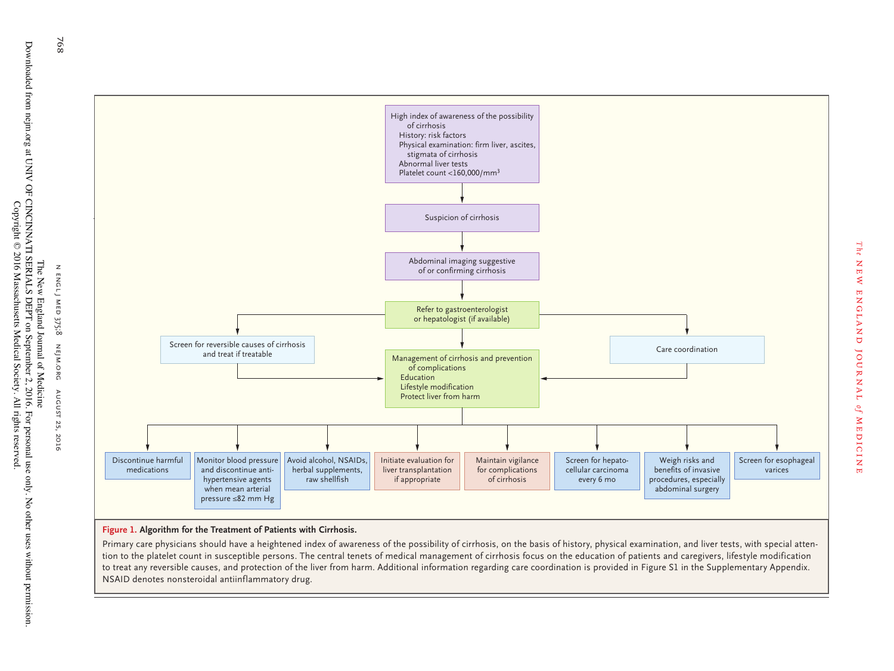

*The*

new england journal

ENGLAND JOURNAL of MEDICINE

medicine

**Figure 1. Algorithm for the Treatment of Patients with Cirrhosis.**

Primary care physicians should have a heightened index of awareness of the possibility of cirrhosis, on the basis of history, physical examination, and liver tests, with special attention to the platelet count in susceptible persons. The central tenets of medical management of cirrhosis focus on the education of patients and caregivers, lifestyle modification to treat any reversible causes, and protection of the liver from harm. Additional information regarding care coordination is provided in Figure S1 in the Supplementary Appendix. NSAID denotes nonsteroidal antiinflammatory drug.

Downloaded from nejm.org at UNIV OF CINCINNATI SERIALS DEPT on September 2, 2016. For personal use only. No other uses without permission.<br>Downloaded from nejm.org at UNIV OF CINCINNATI SERIALS DEPT on September 2, 2016. Downloaded from nejm.org at UNIV OF CINCINNATI SERIALS DEPT on September 2, 2016. For personal use only. No other uses without permission. Copyright © 2016 Massachusetts Medical Society. All rights reserved. The New England Journal of Medicine

768

August 25, 2016 768 G August 25, 2016 G August 25, 2016 August 25, 2016 N ENGL) n engl j medI MED 375;8 nejm.org AUGUST 25,  $, 2016$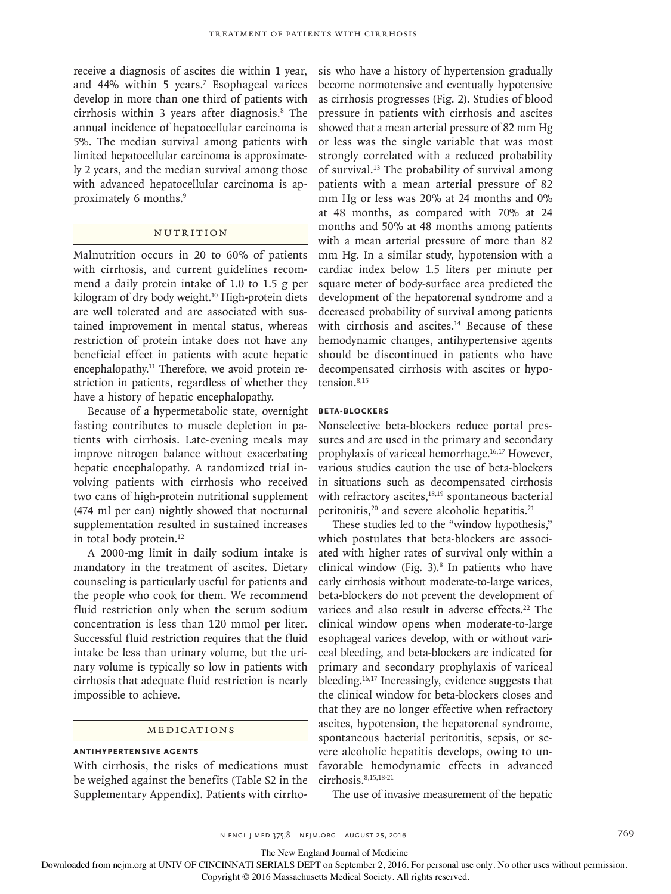receive a diagnosis of ascites die within 1 year, and 44% within 5 years.7 Esophageal varices develop in more than one third of patients with cirrhosis within 3 years after diagnosis.8 The annual incidence of hepatocellular carcinoma is 5%. The median survival among patients with limited hepatocellular carcinoma is approximately 2 years, and the median survival among those with advanced hepatocellular carcinoma is approximately 6 months.<sup>9</sup>

# NUTRITION

Malnutrition occurs in 20 to 60% of patients with cirrhosis, and current guidelines recommend a daily protein intake of 1.0 to 1.5 g per kilogram of dry body weight.<sup>10</sup> High-protein diets are well tolerated and are associated with sustained improvement in mental status, whereas restriction of protein intake does not have any beneficial effect in patients with acute hepatic encephalopathy.<sup>11</sup> Therefore, we avoid protein restriction in patients, regardless of whether they have a history of hepatic encephalopathy.

Because of a hypermetabolic state, overnight fasting contributes to muscle depletion in patients with cirrhosis. Late-evening meals may improve nitrogen balance without exacerbating hepatic encephalopathy. A randomized trial involving patients with cirrhosis who received two cans of high-protein nutritional supplement (474 ml per can) nightly showed that nocturnal supplementation resulted in sustained increases in total body protein.<sup>12</sup>

A 2000-mg limit in daily sodium intake is mandatory in the treatment of ascites. Dietary counseling is particularly useful for patients and the people who cook for them. We recommend fluid restriction only when the serum sodium concentration is less than 120 mmol per liter. Successful fluid restriction requires that the fluid intake be less than urinary volume, but the urinary volume is typically so low in patients with cirrhosis that adequate fluid restriction is nearly impossible to achieve.

# Medications

## **Antihypertensive Agents**

With cirrhosis, the risks of medications must be weighed against the benefits (Table S2 in the Supplementary Appendix). Patients with cirrho-

sis who have a history of hypertension gradually become normotensive and eventually hypotensive as cirrhosis progresses (Fig. 2). Studies of blood pressure in patients with cirrhosis and ascites showed that a mean arterial pressure of 82 mm Hg or less was the single variable that was most strongly correlated with a reduced probability of survival.13 The probability of survival among patients with a mean arterial pressure of 82 mm Hg or less was 20% at 24 months and 0% at 48 months, as compared with 70% at 24 months and 50% at 48 months among patients with a mean arterial pressure of more than 82 mm Hg. In a similar study, hypotension with a cardiac index below 1.5 liters per minute per square meter of body-surface area predicted the development of the hepatorenal syndrome and a decreased probability of survival among patients with cirrhosis and ascites.<sup>14</sup> Because of these hemodynamic changes, antihypertensive agents should be discontinued in patients who have decompensated cirrhosis with ascites or hypotension.8,15

#### **Beta-Blockers**

Nonselective beta-blockers reduce portal pressures and are used in the primary and secondary prophylaxis of variceal hemorrhage.16,17 However, various studies caution the use of beta-blockers in situations such as decompensated cirrhosis with refractory ascites,<sup>18,19</sup> spontaneous bacterial peritonitis,<sup>20</sup> and severe alcoholic hepatitis.<sup>21</sup>

These studies led to the "window hypothesis," which postulates that beta-blockers are associated with higher rates of survival only within a clinical window (Fig.  $3$ ).<sup>8</sup> In patients who have early cirrhosis without moderate-to-large varices, beta-blockers do not prevent the development of varices and also result in adverse effects.<sup>22</sup> The clinical window opens when moderate-to-large esophageal varices develop, with or without variceal bleeding, and beta-blockers are indicated for primary and secondary prophylaxis of variceal bleeding.16,17 Increasingly, evidence suggests that the clinical window for beta-blockers closes and that they are no longer effective when refractory ascites, hypotension, the hepatorenal syndrome, spontaneous bacterial peritonitis, sepsis, or severe alcoholic hepatitis develops, owing to unfavorable hemodynamic effects in advanced cirrhosis.<sup>8,15,18-21</sup>

The use of invasive measurement of the hepatic

The New England Journal of Medicine

Downloaded from nejm.org at UNIV OF CINCINNATI SERIALS DEPT on September 2, 2016. For personal use only. No other uses without permission.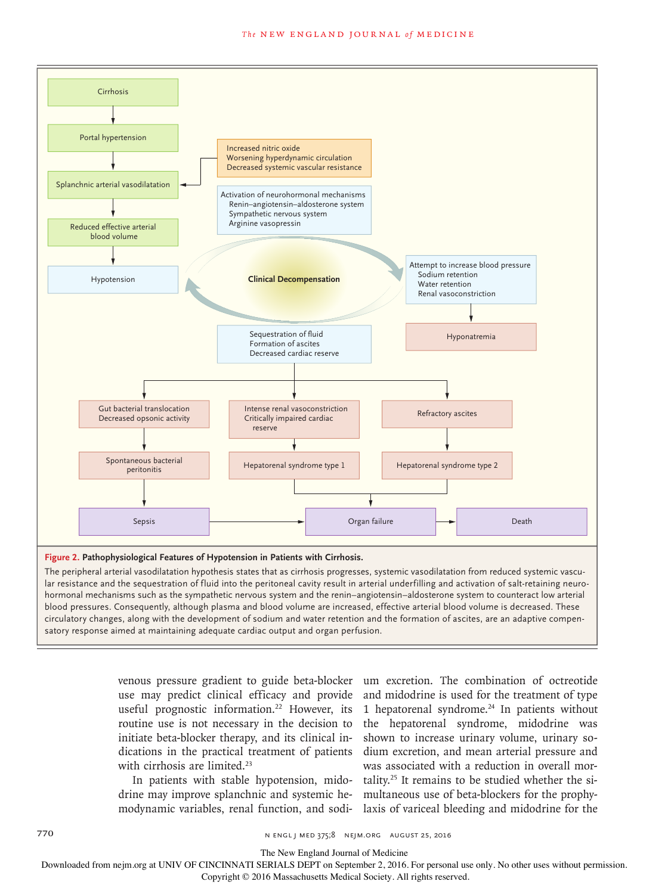

#### **Figure 2. Pathophysiological Features of Hypotension in Patients with Cirrhosis.**

The peripheral arterial vasodilatation hypothesis states that as cirrhosis progresses, systemic vasodilatation from reduced systemic vascular resistance and the sequestration of fluid into the peritoneal cavity result in arterial underfilling and activation of salt-retaining neurohormonal mechanisms such as the sympathetic nervous system and the renin–angiotensin–aldosterone system to counteract low arterial blood pressures. Consequently, although plasma and blood volume are increased, effective arterial blood volume is decreased. These circulatory changes, along with the development of sodium and water retention and the formation of ascites, are an adaptive compensatory response aimed at maintaining adequate cardiac output and organ perfusion.

> useful prognostic information.<sup>22</sup> However, its routine use is not necessary in the decision to initiate beta-blocker therapy, and its clinical indications in the practical treatment of patients with cirrhosis are limited.<sup>23</sup>

> In patients with stable hypotension, midodrine may improve splanchnic and systemic hemodynamic variables, renal function, and sodi-

venous pressure gradient to guide beta-blocker um excretion. The combination of octreotide use may predict clinical efficacy and provide and midodrine is used for the treatment of type 1 hepatorenal syndrome. $24$  In patients without the hepatorenal syndrome, midodrine was shown to increase urinary volume, urinary sodium excretion, and mean arterial pressure and was associated with a reduction in overall mortality.25 It remains to be studied whether the simultaneous use of beta-blockers for the prophylaxis of variceal bleeding and midodrine for the

770 **N ENGL J MED 375;8 NEIM.ORG AUGUST 25, 2016** 

The New England Journal of Medicine

Downloaded from nejm.org at UNIV OF CINCINNATI SERIALS DEPT on September 2, 2016. For personal use only. No other uses without permission.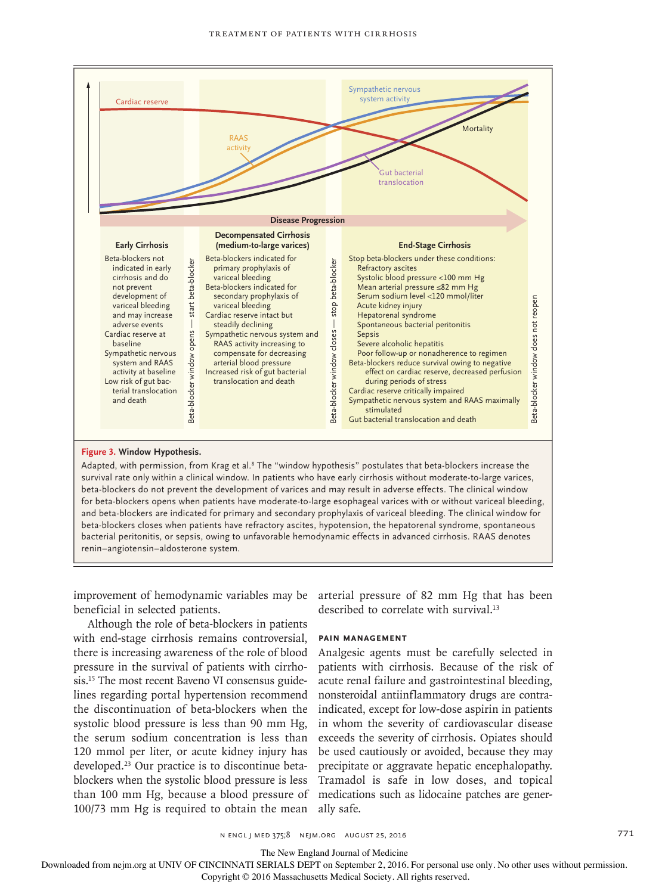

#### **Figure 3. Window Hypothesis.**

Adapted, with permission, from Krag et al.8 The "window hypothesis" postulates that beta-blockers increase the survival rate only within a clinical window. In patients who have early cirrhosis without moderate-to-large varices, beta-blockers do not prevent the development of varices and may result in adverse effects. The clinical window for beta-blockers opens when patients have moderate-to-large esophageal varices with or without variceal bleeding, and beta-blockers are indicated for primary and secondary prophylaxis of variceal bleeding. The clinical window for beta-blockers closes when patients have refractory ascites, hypotension, the hepatorenal syndrome, spontaneous bacterial peritonitis, or sepsis, owing to unfavorable hemodynamic effects in advanced cirrhosis. RAAS denotes renin–angiotensin–aldosterone system.

improvement of hemodynamic variables may be arterial pressure of 82 mm Hg that has been beneficial in selected patients.

Although the role of beta-blockers in patients with end-stage cirrhosis remains controversial, there is increasing awareness of the role of blood pressure in the survival of patients with cirrhosis.15 The most recent Baveno VI consensus guidelines regarding portal hypertension recommend the discontinuation of beta-blockers when the systolic blood pressure is less than 90 mm Hg, the serum sodium concentration is less than 120 mmol per liter, or acute kidney injury has developed.23 Our practice is to discontinue betablockers when the systolic blood pressure is less than 100 mm Hg, because a blood pressure of 100/73 mm Hg is required to obtain the mean

described to correlate with survival.<sup>13</sup>

#### **Pain Management**

Analgesic agents must be carefully selected in patients with cirrhosis. Because of the risk of acute renal failure and gastrointestinal bleeding, nonsteroidal antiinflammatory drugs are contraindicated, except for low-dose aspirin in patients in whom the severity of cardiovascular disease exceeds the severity of cirrhosis. Opiates should be used cautiously or avoided, because they may precipitate or aggravate hepatic encephalopathy. Tramadol is safe in low doses, and topical medications such as lidocaine patches are generally safe.

n engl j med 375;8 nejm.org August 25, 2016 771

The New England Journal of Medicine

Downloaded from nejm.org at UNIV OF CINCINNATI SERIALS DEPT on September 2, 2016. For personal use only. No other uses without permission.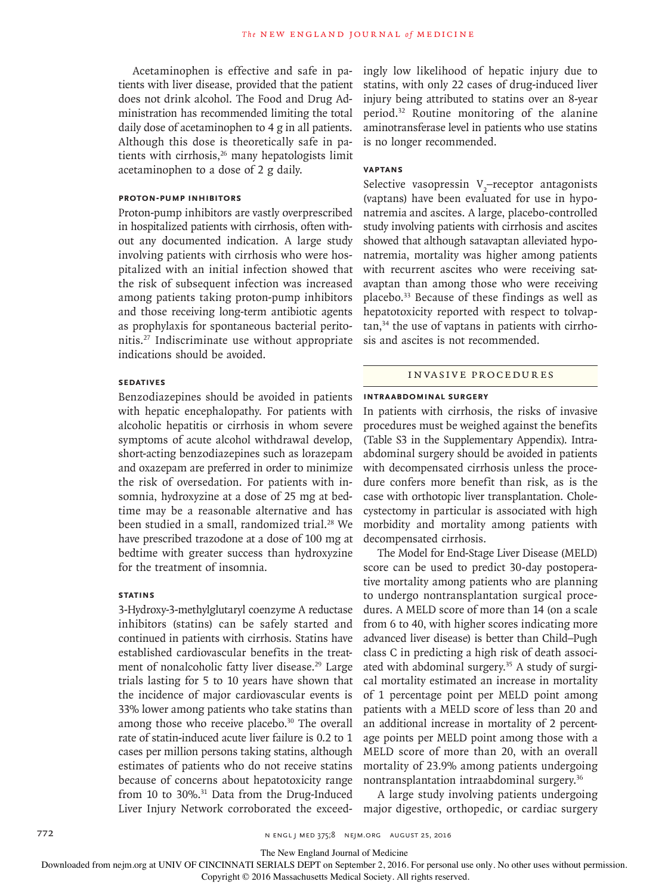Acetaminophen is effective and safe in patients with liver disease, provided that the patient does not drink alcohol. The Food and Drug Administration has recommended limiting the total daily dose of acetaminophen to 4 g in all patients. Although this dose is theoretically safe in patients with cirrhosis, $26$  many hepatologists limit acetaminophen to a dose of 2 g daily.

### **Proton-Pump Inhibitors**

Proton-pump inhibitors are vastly overprescribed in hospitalized patients with cirrhosis, often without any documented indication. A large study involving patients with cirrhosis who were hospitalized with an initial infection showed that the risk of subsequent infection was increased among patients taking proton-pump inhibitors and those receiving long-term antibiotic agents as prophylaxis for spontaneous bacterial peritonitis.27 Indiscriminate use without appropriate indications should be avoided.

# **Sedatives**

Benzodiazepines should be avoided in patients with hepatic encephalopathy. For patients with alcoholic hepatitis or cirrhosis in whom severe symptoms of acute alcohol withdrawal develop, short-acting benzodiazepines such as lorazepam and oxazepam are preferred in order to minimize the risk of oversedation. For patients with insomnia, hydroxyzine at a dose of 25 mg at bedtime may be a reasonable alternative and has been studied in a small, randomized trial.<sup>28</sup> We have prescribed trazodone at a dose of 100 mg at bedtime with greater success than hydroxyzine for the treatment of insomnia.

# **Statins**

3-Hydroxy-3-methylglutaryl coenzyme A reductase inhibitors (statins) can be safely started and continued in patients with cirrhosis. Statins have established cardiovascular benefits in the treatment of nonalcoholic fatty liver disease.<sup>29</sup> Large trials lasting for 5 to 10 years have shown that the incidence of major cardiovascular events is 33% lower among patients who take statins than among those who receive placebo.<sup>30</sup> The overall rate of statin-induced acute liver failure is 0.2 to 1 cases per million persons taking statins, although estimates of patients who do not receive statins because of concerns about hepatotoxicity range from 10 to 30%.<sup>31</sup> Data from the Drug-Induced Liver Injury Network corroborated the exceedingly low likelihood of hepatic injury due to statins, with only 22 cases of drug-induced liver injury being attributed to statins over an 8-year period.32 Routine monitoring of the alanine aminotransferase level in patients who use statins is no longer recommended.

## **Vaptans**

Selective vasopressin  $V_2$ -receptor antagonists (vaptans) have been evaluated for use in hyponatremia and ascites. A large, placebo-controlled study involving patients with cirrhosis and ascites showed that although satavaptan alleviated hyponatremia, mortality was higher among patients with recurrent ascites who were receiving satavaptan than among those who were receiving placebo.33 Because of these findings as well as hepatotoxicity reported with respect to tolvaptan,34 the use of vaptans in patients with cirrhosis and ascites is not recommended.

# Invasive Procedures

#### **Intraabdominal Surgery**

In patients with cirrhosis, the risks of invasive procedures must be weighed against the benefits (Table S3 in the Supplementary Appendix). Intraabdominal surgery should be avoided in patients with decompensated cirrhosis unless the procedure confers more benefit than risk, as is the case with orthotopic liver transplantation. Cholecystectomy in particular is associated with high morbidity and mortality among patients with decompensated cirrhosis.

The Model for End-Stage Liver Disease (MELD) score can be used to predict 30-day postoperative mortality among patients who are planning to undergo nontransplantation surgical procedures. A MELD score of more than 14 (on a scale from 6 to 40, with higher scores indicating more advanced liver disease) is better than Child–Pugh class C in predicting a high risk of death associated with abdominal surgery.<sup>35</sup> A study of surgical mortality estimated an increase in mortality of 1 percentage point per MELD point among patients with a MELD score of less than 20 and an additional increase in mortality of 2 percentage points per MELD point among those with a MELD score of more than 20, with an overall mortality of 23.9% among patients undergoing nontransplantation intraabdominal surgery.36

A large study involving patients undergoing major digestive, orthopedic, or cardiac surgery

The New England Journal of Medicine

Downloaded from nejm.org at UNIV OF CINCINNATI SERIALS DEPT on September 2, 2016. For personal use only. No other uses without permission.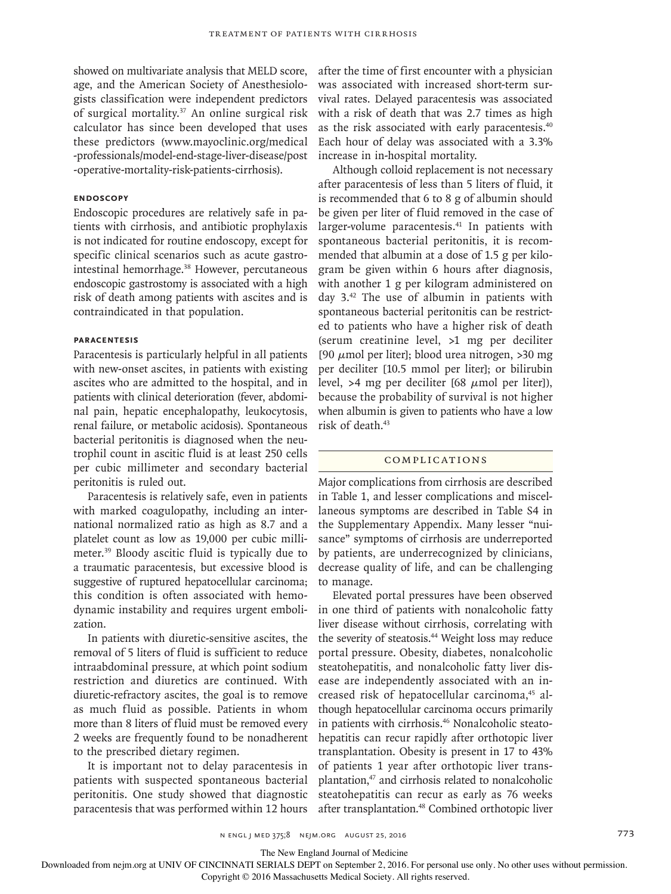showed on multivariate analysis that MELD score, age, and the American Society of Anesthesiologists classification were independent predictors of surgical mortality.37 An online surgical risk calculator has since been developed that uses these predictors (www.mayoclinic.org/medical -professionals/model-end-stage-liver-disease/post -operative-mortality-risk-patients-cirrhosis).

## **Endoscopy**

Endoscopic procedures are relatively safe in patients with cirrhosis, and antibiotic prophylaxis is not indicated for routine endoscopy, except for specific clinical scenarios such as acute gastrointestinal hemorrhage.<sup>38</sup> However, percutaneous endoscopic gastrostomy is associated with a high risk of death among patients with ascites and is contraindicated in that population.

## **Paracentesis**

Paracentesis is particularly helpful in all patients with new-onset ascites, in patients with existing ascites who are admitted to the hospital, and in patients with clinical deterioration (fever, abdominal pain, hepatic encephalopathy, leukocytosis, renal failure, or metabolic acidosis). Spontaneous bacterial peritonitis is diagnosed when the neutrophil count in ascitic fluid is at least 250 cells per cubic millimeter and secondary bacterial peritonitis is ruled out.

Paracentesis is relatively safe, even in patients with marked coagulopathy, including an international normalized ratio as high as 8.7 and a platelet count as low as 19,000 per cubic millimeter.39 Bloody ascitic fluid is typically due to a traumatic paracentesis, but excessive blood is suggestive of ruptured hepatocellular carcinoma; this condition is often associated with hemodynamic instability and requires urgent embolization.

In patients with diuretic-sensitive ascites, the removal of 5 liters of fluid is sufficient to reduce intraabdominal pressure, at which point sodium restriction and diuretics are continued. With diuretic-refractory ascites, the goal is to remove as much fluid as possible. Patients in whom more than 8 liters of fluid must be removed every 2 weeks are frequently found to be nonadherent to the prescribed dietary regimen.

It is important not to delay paracentesis in patients with suspected spontaneous bacterial peritonitis. One study showed that diagnostic paracentesis that was performed within 12 hours after the time of first encounter with a physician was associated with increased short-term survival rates. Delayed paracentesis was associated with a risk of death that was 2.7 times as high as the risk associated with early paracentesis.40 Each hour of delay was associated with a 3.3% increase in in-hospital mortality.

Although colloid replacement is not necessary after paracentesis of less than 5 liters of fluid, it is recommended that 6 to 8 g of albumin should be given per liter of fluid removed in the case of larger-volume paracentesis.41 In patients with spontaneous bacterial peritonitis, it is recommended that albumin at a dose of 1.5 g per kilogram be given within 6 hours after diagnosis, with another 1 g per kilogram administered on day 3.42 The use of albumin in patients with spontaneous bacterial peritonitis can be restricted to patients who have a higher risk of death (serum creatinine level, >1 mg per deciliter [90  $\mu$ mol per liter]; blood urea nitrogen, >30 mg per deciliter [10.5 mmol per liter]; or bilirubin level, >4 mg per deciliter [68  $\mu$ mol per liter]), because the probability of survival is not higher when albumin is given to patients who have a low risk of death.43

#### Complications

Major complications from cirrhosis are described in Table 1, and lesser complications and miscellaneous symptoms are described in Table S4 in the Supplementary Appendix. Many lesser "nuisance" symptoms of cirrhosis are underreported by patients, are underrecognized by clinicians, decrease quality of life, and can be challenging to manage.

Elevated portal pressures have been observed in one third of patients with nonalcoholic fatty liver disease without cirrhosis, correlating with the severity of steatosis.<sup>44</sup> Weight loss may reduce portal pressure. Obesity, diabetes, nonalcoholic steatohepatitis, and nonalcoholic fatty liver disease are independently associated with an increased risk of hepatocellular carcinoma,<sup>45</sup> although hepatocellular carcinoma occurs primarily in patients with cirrhosis.46 Nonalcoholic steatohepatitis can recur rapidly after orthotopic liver transplantation. Obesity is present in 17 to 43% of patients 1 year after orthotopic liver transplantation,47 and cirrhosis related to nonalcoholic steatohepatitis can recur as early as 76 weeks after transplantation.48 Combined orthotopic liver

The New England Journal of Medicine

Downloaded from nejm.org at UNIV OF CINCINNATI SERIALS DEPT on September 2, 2016. For personal use only. No other uses without permission.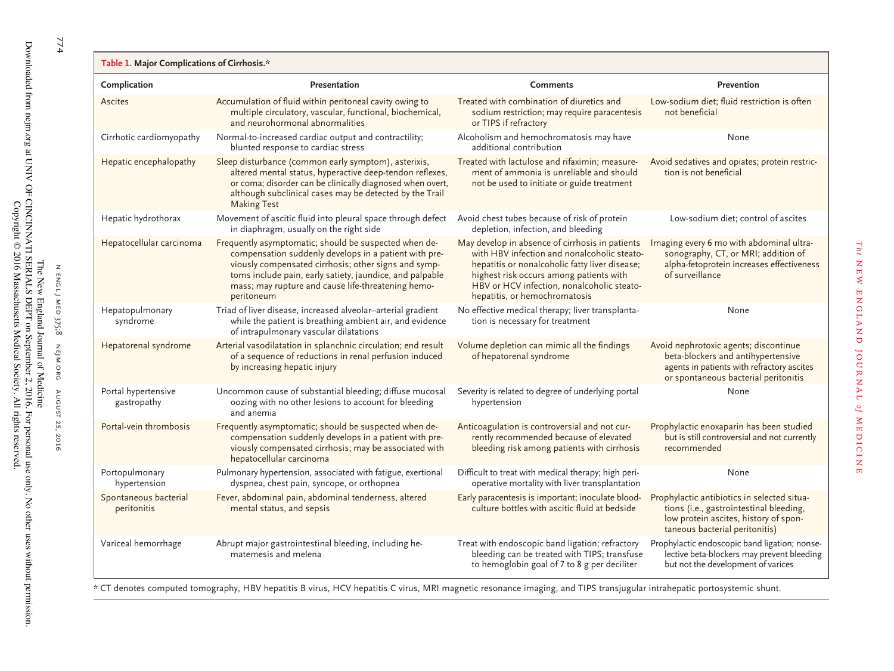| Complication                         | Presentation                                                                                                                                                                                                                                                                                           | <b>Comments</b>                                                                                                                                                                                                                                                            | Prevention                                                                                                                                                        |
|--------------------------------------|--------------------------------------------------------------------------------------------------------------------------------------------------------------------------------------------------------------------------------------------------------------------------------------------------------|----------------------------------------------------------------------------------------------------------------------------------------------------------------------------------------------------------------------------------------------------------------------------|-------------------------------------------------------------------------------------------------------------------------------------------------------------------|
| Ascites                              | Accumulation of fluid within peritoneal cavity owing to<br>multiple circulatory, vascular, functional, biochemical,<br>and neurohormonal abnormalities                                                                                                                                                 | Treated with combination of diuretics and<br>sodium restriction; may require paracentesis<br>or TIPS if refractory                                                                                                                                                         | Low-sodium diet; fluid restriction is often<br>not beneficial                                                                                                     |
| Cirrhotic cardiomyopathy             | Normal-to-increased cardiac output and contractility;<br>blunted response to cardiac stress                                                                                                                                                                                                            | Alcoholism and hemochromatosis may have<br>additional contribution                                                                                                                                                                                                         | None                                                                                                                                                              |
| Hepatic encephalopathy               | Sleep disturbance (common early symptom), asterixis,<br>altered mental status, hyperactive deep-tendon reflexes,<br>or coma; disorder can be clinically diagnosed when overt,<br>although subclinical cases may be detected by the Trail<br><b>Making Test</b>                                         | Treated with lactulose and rifaximin: measure-<br>ment of ammonia is unreliable and should<br>not be used to initiate or guide treatment                                                                                                                                   | Avoid sedatives and opiates; protein restric-<br>tion is not beneficial                                                                                           |
| Hepatic hydrothorax                  | Movement of ascitic fluid into pleural space through defect<br>in diaphragm, usually on the right side                                                                                                                                                                                                 | Avoid chest tubes because of risk of protein<br>depletion, infection, and bleeding                                                                                                                                                                                         | Low-sodium diet; control of ascites                                                                                                                               |
| Hepatocellular carcinoma             | Frequently asymptomatic; should be suspected when de-<br>compensation suddenly develops in a patient with pre-<br>viously compensated cirrhosis; other signs and symp-<br>toms include pain, early satiety, jaundice, and palpable<br>mass; may rupture and cause life-threatening hemo-<br>peritoneum | May develop in absence of cirrhosis in patients<br>with HBV infection and nonalcoholic steato-<br>hepatitis or nonalcoholic fatty liver disease;<br>highest risk occurs among patients with<br>HBV or HCV infection, nonalcoholic steato-<br>hepatitis, or hemochromatosis | Imaging every 6 mo with abdominal ultra-<br>sonography, CT, or MRI; addition of<br>alpha-fetoprotein increases effectiveness<br>of surveillance                   |
| Hepatopulmonary<br>syndrome          | Triad of liver disease, increased alveolar-arterial gradient<br>while the patient is breathing ambient air, and evidence<br>of intrapulmonary vascular dilatations                                                                                                                                     | No effective medical therapy; liver transplanta-<br>tion is necessary for treatment                                                                                                                                                                                        | None                                                                                                                                                              |
| Hepatorenal syndrome                 | Arterial vasodilatation in splanchnic circulation; end result<br>of a sequence of reductions in renal perfusion induced<br>by increasing hepatic injury                                                                                                                                                | Volume depletion can mimic all the findings<br>of hepatorenal syndrome                                                                                                                                                                                                     | Avoid nephrotoxic agents; discontinue<br>beta-blockers and antihypertensive<br>agents in patients with refractory ascites<br>or spontaneous bacterial peritonitis |
| Portal hypertensive<br>gastropathy   | Uncommon cause of substantial bleeding; diffuse mucosal<br>oozing with no other lesions to account for bleeding<br>and anemia                                                                                                                                                                          | Severity is related to degree of underlying portal<br>hypertension                                                                                                                                                                                                         | None                                                                                                                                                              |
| Portal-vein thrombosis               | Frequently asymptomatic; should be suspected when de-<br>compensation suddenly develops in a patient with pre-<br>viously compensated cirrhosis; may be associated with<br>hepatocellular carcinoma                                                                                                    | Anticoagulation is controversial and not cur-<br>rently recommended because of elevated<br>bleeding risk among patients with cirrhosis                                                                                                                                     | Prophylactic enoxaparin has been studied<br>but is still controversial and not currently<br>recommended                                                           |
| Portopulmonary<br>hypertension       | Pulmonary hypertension, associated with fatigue, exertional<br>dyspnea, chest pain, syncope, or orthopnea                                                                                                                                                                                              | Difficult to treat with medical therapy; high peri-<br>operative mortality with liver transplantation                                                                                                                                                                      | None                                                                                                                                                              |
| Spontaneous bacterial<br>peritonitis | Fever, abdominal pain, abdominal tenderness, altered<br>mental status, and sepsis                                                                                                                                                                                                                      | Early paracentesis is important; inoculate blood-<br>culture bottles with ascitic fluid at bedside                                                                                                                                                                         | Prophylactic antibiotics in selected situa-<br>tions (i.e., gastrointestinal bleeding,<br>low protein ascites, history of spon-<br>taneous bacterial peritonitis) |
| Variceal hemorrhage                  | Abrupt major gastrointestinal bleeding, including he-<br>matemesis and melena                                                                                                                                                                                                                          | Treat with endoscopic band ligation; refractory<br>bleeding can be treated with TIPS; transfuse<br>to hemoglobin goal of 7 to 8 g per deciliter                                                                                                                            | Prophylactic endoscopic band ligation; nonse-<br>lective beta-blockers may prevent bleeding<br>but not the development of varices                                 |

774 774<br>August 25, 2016 775, 2016 775, 2016 775, 2016 774

Copyright © 2016 Massachusetts Medical Society. All rights reserved.

\* CT denotes computed tomography, HBV hepatitis B virus, HCV hepatitis C virus, MRI magnetic resonance imaging, and TIPS transjugular intrahepatic portosystemic shunt.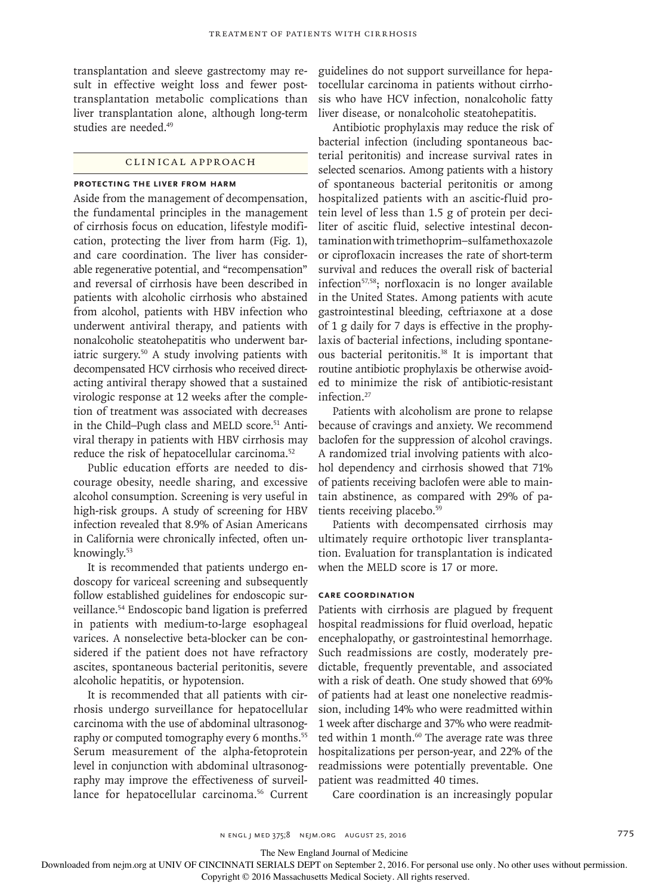transplantation and sleeve gastrectomy may result in effective weight loss and fewer posttransplantation metabolic complications than liver transplantation alone, although long-term studies are needed.<sup>49</sup>

#### Clinical Approach

# **Protecting the Liver from Harm**

Aside from the management of decompensation, the fundamental principles in the management of cirrhosis focus on education, lifestyle modification, protecting the liver from harm (Fig. 1), and care coordination. The liver has considerable regenerative potential, and "recompensation" and reversal of cirrhosis have been described in patients with alcoholic cirrhosis who abstained from alcohol, patients with HBV infection who underwent antiviral therapy, and patients with nonalcoholic steatohepatitis who underwent bariatric surgery.<sup>50</sup> A study involving patients with decompensated HCV cirrhosis who received directacting antiviral therapy showed that a sustained virologic response at 12 weeks after the completion of treatment was associated with decreases in the Child–Pugh class and MELD score.<sup>51</sup> Antiviral therapy in patients with HBV cirrhosis may reduce the risk of hepatocellular carcinoma.52

Public education efforts are needed to discourage obesity, needle sharing, and excessive alcohol consumption. Screening is very useful in high-risk groups. A study of screening for HBV infection revealed that 8.9% of Asian Americans in California were chronically infected, often unknowingly.53

It is recommended that patients undergo endoscopy for variceal screening and subsequently follow established guidelines for endoscopic surveillance.54 Endoscopic band ligation is preferred in patients with medium-to-large esophageal varices. A nonselective beta-blocker can be considered if the patient does not have refractory ascites, spontaneous bacterial peritonitis, severe alcoholic hepatitis, or hypotension.

It is recommended that all patients with cirrhosis undergo surveillance for hepatocellular carcinoma with the use of abdominal ultrasonography or computed tomography every 6 months.<sup>55</sup> Serum measurement of the alpha-fetoprotein level in conjunction with abdominal ultrasonography may improve the effectiveness of surveillance for hepatocellular carcinoma.<sup>56</sup> Current guidelines do not support surveillance for hepatocellular carcinoma in patients without cirrhosis who have HCV infection, nonalcoholic fatty liver disease, or nonalcoholic steatohepatitis.

Antibiotic prophylaxis may reduce the risk of bacterial infection (including spontaneous bacterial peritonitis) and increase survival rates in selected scenarios. Among patients with a history of spontaneous bacterial peritonitis or among hospitalized patients with an ascitic-fluid protein level of less than 1.5 g of protein per deciliter of ascitic fluid, selective intestinal decontamination with trimethoprim–sulfamethoxazole or ciprofloxacin increases the rate of short-term survival and reduces the overall risk of bacterial infection<sup>57,58</sup>; norfloxacin is no longer available in the United States. Among patients with acute gastrointestinal bleeding, ceftriaxone at a dose of 1 g daily for 7 days is effective in the prophylaxis of bacterial infections, including spontaneous bacterial peritonitis.38 It is important that routine antibiotic prophylaxis be otherwise avoided to minimize the risk of antibiotic-resistant infection.27

Patients with alcoholism are prone to relapse because of cravings and anxiety. We recommend baclofen for the suppression of alcohol cravings. A randomized trial involving patients with alcohol dependency and cirrhosis showed that 71% of patients receiving baclofen were able to maintain abstinence, as compared with 29% of patients receiving placebo.<sup>59</sup>

Patients with decompensated cirrhosis may ultimately require orthotopic liver transplantation. Evaluation for transplantation is indicated when the MELD score is 17 or more.

#### **Care Coordination**

Patients with cirrhosis are plagued by frequent hospital readmissions for fluid overload, hepatic encephalopathy, or gastrointestinal hemorrhage. Such readmissions are costly, moderately predictable, frequently preventable, and associated with a risk of death. One study showed that 69% of patients had at least one nonelective readmission, including 14% who were readmitted within 1 week after discharge and 37% who were readmitted within 1 month.<sup>60</sup> The average rate was three hospitalizations per person-year, and 22% of the readmissions were potentially preventable. One patient was readmitted 40 times.

Care coordination is an increasingly popular

The New England Journal of Medicine

Downloaded from nejm.org at UNIV OF CINCINNATI SERIALS DEPT on September 2, 2016. For personal use only. No other uses without permission.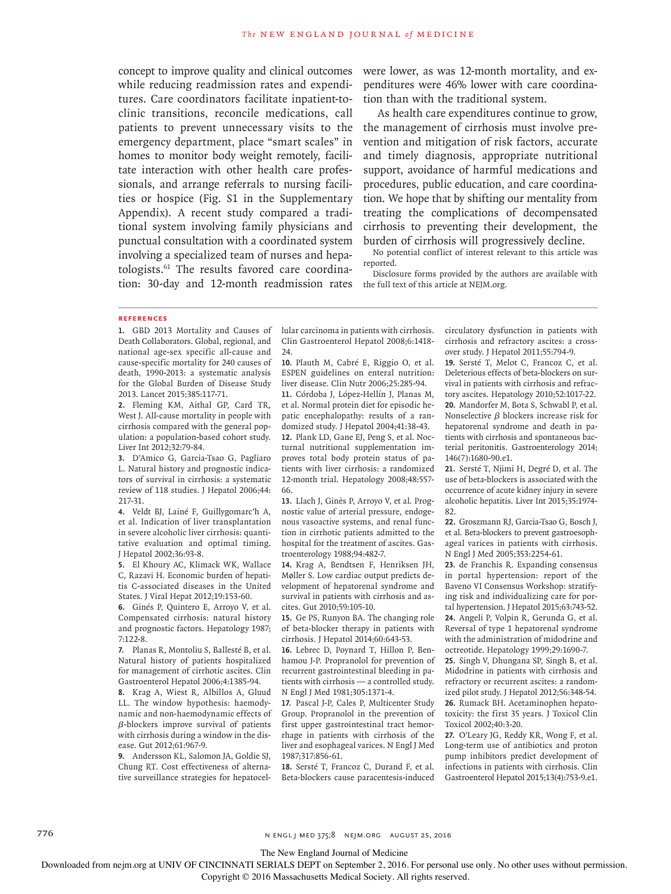concept to improve quality and clinical outcomes while reducing readmission rates and expenditures. Care coordinators facilitate inpatient-toclinic transitions, reconcile medications, call patients to prevent unnecessary visits to the emergency department, place "smart scales" in homes to monitor body weight remotely, facilitate interaction with other health care professionals, and arrange referrals to nursing facilities or hospice (Fig. S1 in the Supplementary Appendix). A recent study compared a traditional system involving family physicians and punctual consultation with a coordinated system involving a specialized team of nurses and hepatologists.61 The results favored care coordination: 30-day and 12-month readmission rates were lower, as was 12-month mortality, and expenditures were 46% lower with care coordination than with the traditional system.

As health care expenditures continue to grow, the management of cirrhosis must involve prevention and mitigation of risk factors, accurate and timely diagnosis, appropriate nutritional support, avoidance of harmful medications and procedures, public education, and care coordination. We hope that by shifting our mentality from treating the complications of decompensated cirrhosis to preventing their development, the burden of cirrhosis will progressively decline.

No potential conflict of interest relevant to this article was reported.

Disclosure forms provided by the authors are available with the full text of this article at NEJM.org.

#### **References**

**1.** GBD 2013 Mortality and Causes of Death Collaborators. Global, regional, and national age-sex specific all-cause and cause-specific mortality for 240 causes of death, 1990-2013: a systematic analysis for the Global Burden of Disease Study 2013. Lancet 2015;385:117-71.

**2.** Fleming KM, Aithal GP, Card TR, West J. All-cause mortality in people with cirrhosis compared with the general population: a population-based cohort study. Liver Int 2012;32:79-84.

**3.** D'Amico G, Garcia-Tsao G, Pagliaro L. Natural history and prognostic indicators of survival in cirrhosis: a systematic review of 118 studies. J Hepatol 2006;44: 217-31.

**4.** Veldt BJ, Lainé F, Guillygomarc'h A, et al. Indication of liver transplantation in severe alcoholic liver cirrhosis: quantitative evaluation and optimal timing. J Hepatol 2002;36:93-8.

**5.** El Khoury AC, Klimack WK, Wallace C, Razavi H. Economic burden of hepatitis C-associated diseases in the United States. J Viral Hepat 2012;19:153-60.

**6.** Ginés P, Quintero E, Arroyo V, et al. Compensated cirrhosis: natural history and prognostic factors. Hepatology 1987; 7:122-8.

**7.** Planas R, Montoliu S, Ballesté B, et al. Natural history of patients hospitalized for management of cirrhotic ascites. Clin Gastroenterol Hepatol 2006;4:1385-94.

**8.** Krag A, Wiest R, Albillos A, Gluud LL. The window hypothesis: haemodynamic and non-haemodynamic effects of β-blockers improve survival of patients with cirrhosis during a window in the disease. Gut 2012;61:967-9.

**9.** Andersson KL, Salomon JA, Goldie SJ, Chung RT. Cost effectiveness of alternative surveillance strategies for hepatocellular carcinoma in patients with cirrhosis. Clin Gastroenterol Hepatol 2008;6:1418- 24.

**10.** Plauth M, Cabré E, Riggio O, et al. ESPEN guidelines on enteral nutrition: liver disease. Clin Nutr 2006;25:285-94. **11.** Córdoba J, López-Hellín J, Planas M, et al. Normal protein diet for episodic hepatic encephalopathy: results of a randomized study. J Hepatol 2004;41:38-43. **12.** Plank LD, Gane EJ, Peng S, et al. Nocturnal nutritional supplementation improves total body protein status of patients with liver cirrhosis: a randomized 12-month trial. Hepatology 2008;48:557- 66.

**13.** Llach J, Ginès P, Arroyo V, et al. Prognostic value of arterial pressure, endogenous vasoactive systems, and renal function in cirrhotic patients admitted to the hospital for the treatment of ascites. Gastroenterology 1988;94:482-7.

**14.** Krag A, Bendtsen F, Henriksen JH, Møller S. Low cardiac output predicts development of hepatorenal syndrome and survival in patients with cirrhosis and ascites. Gut 2010;59:105-10.

**15.** Ge PS, Runyon BA. The changing role of beta-blocker therapy in patients with cirrhosis. J Hepatol 2014;60:643-53.

**16.** Lebrec D, Poynard T, Hillon P, Benhamou J-P. Propranolol for prevention of recurrent gastrointestinal bleeding in patients with cirrhosis — a controlled study. N Engl J Med 1981;305:1371-4.

**17.** Pascal J-P, Cales P, Multicenter Study Group. Propranolol in the prevention of first upper gastrointestinal tract hemorrhage in patients with cirrhosis of the liver and esophageal varices. N Engl J Med 1987;317:856-61.

**18.** Sersté T, Francoz C, Durand F, et al. Beta-blockers cause paracentesis-induced circulatory dysfunction in patients with cirrhosis and refractory ascites: a crossover study. J Hepatol 2011;55:794-9.

**19.** Sersté T, Melot C, Francoz C, et al. Deleterious effects of beta-blockers on survival in patients with cirrhosis and refractory ascites. Hepatology 2010;52:1017-22. **20.** Mandorfer M, Bota S, Schwabl P, et al. Nonselective  $\beta$  blockers increase risk for hepatorenal syndrome and death in patients with cirrhosis and spontaneous bacterial peritonitis. Gastroenterology 2014; 146(7):1680-90.e1.

**21.** Sersté T, Njimi H, Degré D, et al. The use of beta-blockers is associated with the occurrence of acute kidney injury in severe alcoholic hepatitis. Liver Int 2015;35:1974- 82.

**22.** Groszmann RJ, Garcia-Tsao G, Bosch J, et al. Beta-blockers to prevent gastroesophageal varices in patients with cirrhosis. N Engl J Med 2005;353:2254-61.

**23.** de Franchis R. Expanding consensus in portal hypertension: report of the Baveno VI Consensus Workshop: stratifying risk and individualizing care for portal hypertension. J Hepatol 2015;63:743-52. **24.** Angeli P, Volpin R, Gerunda G, et al. Reversal of type 1 hepatorenal syndrome with the administration of midodrine and octreotide. Hepatology 1999;29:1690-7.

**25.** Singh V, Dhungana SP, Singh B, et al. Midodrine in patients with cirrhosis and refractory or recurrent ascites: a randomized pilot study. J Hepatol 2012;56:348-54. **26.** Rumack BH. Acetaminophen hepatotoxicity: the first 35 years. J Toxicol Clin Toxicol 2002;40:3-20.

**27.** O'Leary JG, Reddy KR, Wong F, et al. Long-term use of antibiotics and proton pump inhibitors predict development of infections in patients with cirrhosis. Clin Gastroenterol Hepatol 2015;13(4):753-9.e1.

776 n engl j med 375;8 nejm.org August 25, 2016

The New England Journal of Medicine

Downloaded from nejm.org at UNIV OF CINCINNATI SERIALS DEPT on September 2, 2016. For personal use only. No other uses without permission.